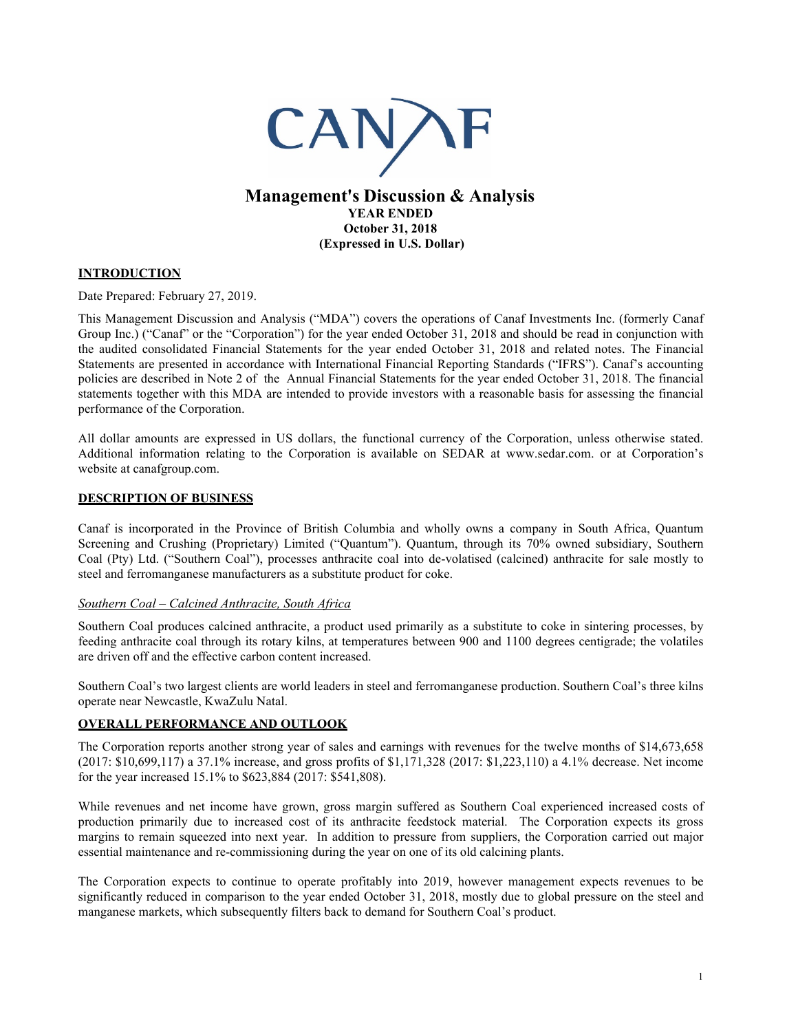

**YEAR ENDED October 31, 2018 (Expressed in U.S. Dollar)**

# **INTRODUCTION**

Date Prepared: February 27, 2019.

This Management Discussion and Analysis ("MDA") covers the operations of Canaf Investments Inc. (formerly Canaf Group Inc.) ("Canaf" or the "Corporation") for the year ended October 31, 2018 and should be read in conjunction with the audited consolidated Financial Statements for the year ended October 31, 2018 and related notes. The Financial Statements are presented in accordance with International Financial Reporting Standards ("IFRS"). Canaf's accounting policies are described in Note 2 of the Annual Financial Statements for the year ended October 31, 2018. The financial statements together with this MDA are intended to provide investors with a reasonable basis for assessing the financial performance of the Corporation.

All dollar amounts are expressed in US dollars, the functional currency of the Corporation, unless otherwise stated. Additional information relating to the Corporation is available on SEDAR at www.sedar.com. or at Corporation's website at canafgroup.com.

#### **DESCRIPTION OF BUSINESS**

Canaf is incorporated in the Province of British Columbia and wholly owns a company in South Africa, Quantum Screening and Crushing (Proprietary) Limited ("Quantum"). Quantum, through its 70% owned subsidiary, Southern Coal (Pty) Ltd. ("Southern Coal"), processes anthracite coal into de-volatised (calcined) anthracite for sale mostly to steel and ferromanganese manufacturers as a substitute product for coke.

### *Southern Coal – Calcined Anthracite, South Africa*

Southern Coal produces calcined anthracite, a product used primarily as a substitute to coke in sintering processes, by feeding anthracite coal through its rotary kilns, at temperatures between 900 and 1100 degrees centigrade; the volatiles are driven off and the effective carbon content increased.

Southern Coal's two largest clients are world leaders in steel and ferromanganese production. Southern Coal's three kilns operate near Newcastle, KwaZulu Natal.

### **OVERALL PERFORMANCE AND OUTLOOK**

The Corporation reports another strong year of sales and earnings with revenues for the twelve months of \$14,673,658 (2017: \$10,699,117) a 37.1% increase, and gross profits of \$1,171,328 (2017: \$1,223,110) a 4.1% decrease. Net income for the year increased 15.1% to \$623,884 (2017: \$541,808).

While revenues and net income have grown, gross margin suffered as Southern Coal experienced increased costs of production primarily due to increased cost of its anthracite feedstock material. The Corporation expects its gross margins to remain squeezed into next year. In addition to pressure from suppliers, the Corporation carried out major essential maintenance and re-commissioning during the year on one of its old calcining plants.

The Corporation expects to continue to operate profitably into 2019, however management expects revenues to be significantly reduced in comparison to the year ended October 31, 2018, mostly due to global pressure on the steel and manganese markets, which subsequently filters back to demand for Southern Coal's product.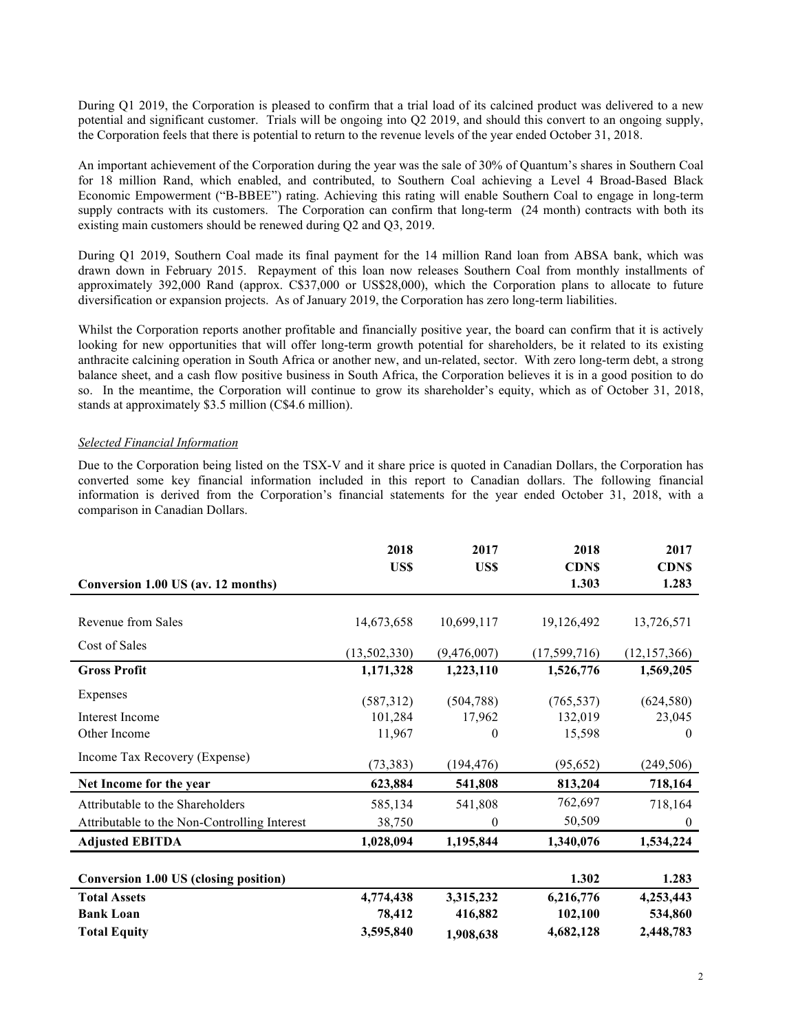During Q1 2019, the Corporation is pleased to confirm that a trial load of its calcined product was delivered to a new potential and significant customer. Trials will be ongoing into Q2 2019, and should this convert to an ongoing supply, the Corporation feels that there is potential to return to the revenue levels of the year ended October 31, 2018.

An important achievement of the Corporation during the year was the sale of 30% of Quantum's shares in Southern Coal for 18 million Rand, which enabled, and contributed, to Southern Coal achieving a Level 4 Broad-Based Black Economic Empowerment ("B-BBEE") rating. Achieving this rating will enable Southern Coal to engage in long-term supply contracts with its customers. The Corporation can confirm that long-term (24 month) contracts with both its existing main customers should be renewed during Q2 and Q3, 2019.

During Q1 2019, Southern Coal made its final payment for the 14 million Rand loan from ABSA bank, which was drawn down in February 2015. Repayment of this loan now releases Southern Coal from monthly installments of approximately 392,000 Rand (approx. C\$37,000 or US\$28,000), which the Corporation plans to allocate to future diversification or expansion projects. As of January 2019, the Corporation has zero long-term liabilities.

Whilst the Corporation reports another profitable and financially positive year, the board can confirm that it is actively looking for new opportunities that will offer long-term growth potential for shareholders, be it related to its existing anthracite calcining operation in South Africa or another new, and un-related, sector. With zero long-term debt, a strong balance sheet, and a cash flow positive business in South Africa, the Corporation believes it is in a good position to do so. In the meantime, the Corporation will continue to grow its shareholder's equity, which as of October 31, 2018, stands at approximately \$3.5 million (C\$4.6 million).

#### *Selected Financial Information*

Due to the Corporation being listed on the TSX-V and it share price is quoted in Canadian Dollars, the Corporation has converted some key financial information included in this report to Canadian dollars. The following financial information is derived from the Corporation's financial statements for the year ended October 31, 2018, with a comparison in Canadian Dollars.

|                                              | 2018<br>US\$ | 2017<br>US\$ | 2018<br><b>CDNS</b> | 2017<br><b>CDNS</b> |
|----------------------------------------------|--------------|--------------|---------------------|---------------------|
| Conversion 1.00 US (av. 12 months)           |              |              | 1.303               | 1.283               |
|                                              |              |              |                     |                     |
| Revenue from Sales                           | 14,673,658   | 10,699,117   | 19,126,492          | 13,726,571          |
| Cost of Sales                                | (13,502,330) | (9,476,007)  | (17,599,716)        | (12, 157, 366)      |
| <b>Gross Profit</b>                          | 1,171,328    | 1,223,110    | 1,526,776           | 1,569,205           |
| Expenses                                     | (587,312)    | (504, 788)   | (765, 537)          | (624, 580)          |
| Interest Income                              | 101,284      | 17,962       | 132,019             | 23,045              |
| Other Income                                 | 11,967       | $\theta$     | 15,598              | $\theta$            |
| Income Tax Recovery (Expense)                | (73, 383)    | (194, 476)   | (95, 652)           | (249, 506)          |
| Net Income for the year                      | 623,884      | 541,808      | 813,204             | 718,164             |
| Attributable to the Shareholders             | 585,134      | 541,808      | 762,697             | 718,164             |
| Attributable to the Non-Controlling Interest | 38,750       | $\theta$     | 50,509              | $\boldsymbol{0}$    |
| <b>Adjusted EBITDA</b>                       | 1,028,094    | 1,195,844    | 1,340,076           | 1,534,224           |
|                                              |              |              |                     |                     |
| <b>Conversion 1.00 US (closing position)</b> |              |              | 1.302               | 1.283               |
| <b>Total Assets</b>                          | 4,774,438    | 3,315,232    | 6,216,776           | 4,253,443           |
| <b>Bank Loan</b>                             | 78,412       | 416,882      | 102,100             | 534,860             |
| <b>Total Equity</b>                          | 3,595,840    | 1,908,638    | 4,682,128           | 2,448,783           |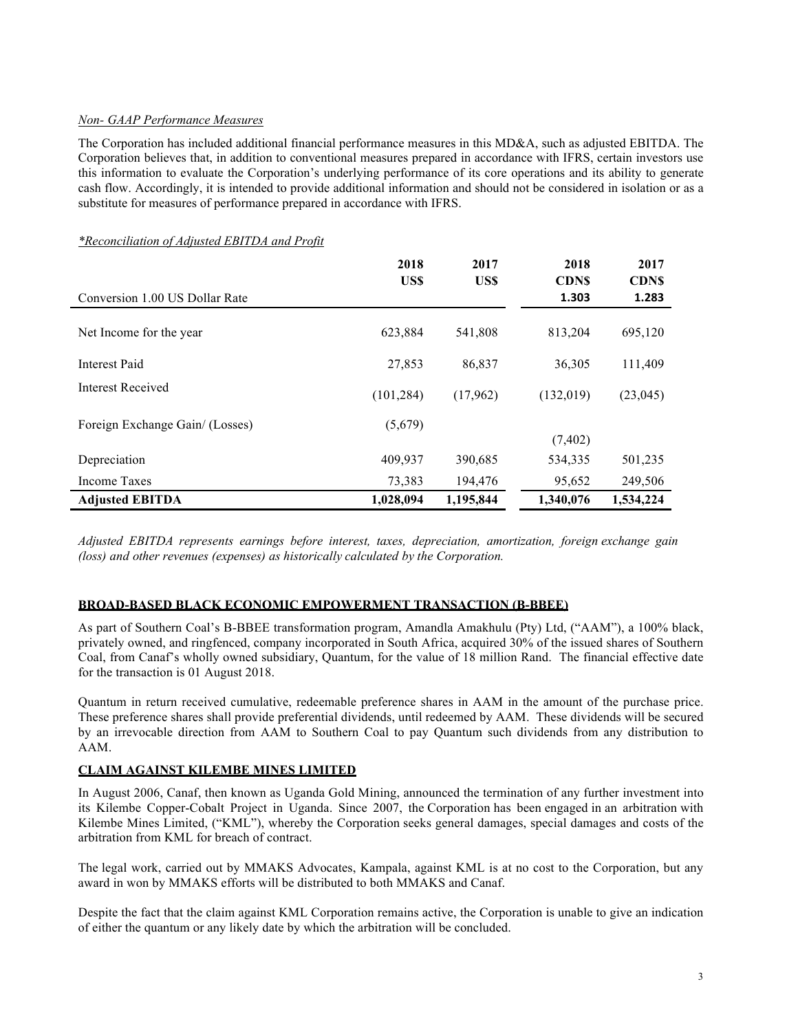### *Non- GAAP Performance Measures*

The Corporation has included additional financial performance measures in this MD&A, such as adjusted EBITDA. The Corporation believes that, in addition to conventional measures prepared in accordance with IFRS, certain investors use this information to evaluate the Corporation's underlying performance of its core operations and its ability to generate cash flow. Accordingly, it is intended to provide additional information and should not be considered in isolation or as a substitute for measures of performance prepared in accordance with IFRS.

|                                 | 2018<br>US\$ | 2017<br>US\$ | 2018<br><b>CDNS</b> | 2017<br><b>CDNS</b> |
|---------------------------------|--------------|--------------|---------------------|---------------------|
| Conversion 1.00 US Dollar Rate  |              |              | 1.303               | 1.283               |
| Net Income for the year         | 623,884      | 541,808      | 813,204             | 695,120             |
| <b>Interest Paid</b>            | 27,853       | 86,837       | 36,305              | 111,409             |
| <b>Interest Received</b>        | (101, 284)   | (17,962)     | (132,019)           | (23, 045)           |
| Foreign Exchange Gain/ (Losses) | (5,679)      |              | (7, 402)            |                     |
| Depreciation                    | 409,937      | 390,685      | 534,335             | 501,235             |
| Income Taxes                    | 73,383       | 194,476      | 95,652              | 249,506             |
| <b>Adjusted EBITDA</b>          | 1,028,094    | 1,195,844    | 1.340.076           | 1,534,224           |

### *\*Reconciliation of Adjusted EBITDA and Profit*

*Adjusted EBITDA represents earnings before interest, taxes, depreciation, amortization, foreign exchange gain (loss) and other revenues (expenses) as historically calculated by the Corporation.*

### **BROAD-BASED BLACK ECONOMIC EMPOWERMENT TRANSACTION (B-BBEE)**

As part of Southern Coal's B-BBEE transformation program, Amandla Amakhulu (Pty) Ltd, ("AAM"), a 100% black, privately owned, and ringfenced, company incorporated in South Africa, acquired 30% of the issued shares of Southern Coal, from Canaf's wholly owned subsidiary, Quantum, for the value of 18 million Rand. The financial effective date for the transaction is 01 August 2018.

Quantum in return received cumulative, redeemable preference shares in AAM in the amount of the purchase price. These preference shares shall provide preferential dividends, until redeemed by AAM. These dividends will be secured by an irrevocable direction from AAM to Southern Coal to pay Quantum such dividends from any distribution to AAM.

# **CLAIM AGAINST KILEMBE MINES LIMITED**

In August 2006, Canaf, then known as Uganda Gold Mining, announced the termination of any further investment into its Kilembe Copper-Cobalt Project in Uganda. Since 2007, the Corporation has been engaged in an arbitration with Kilembe Mines Limited, ("KML"), whereby the Corporation seeks general damages, special damages and costs of the arbitration from KML for breach of contract.

The legal work, carried out by MMAKS Advocates, Kampala, against KML is at no cost to the Corporation, but any award in won by MMAKS efforts will be distributed to both MMAKS and Canaf.

Despite the fact that the claim against KML Corporation remains active, the Corporation is unable to give an indication of either the quantum or any likely date by which the arbitration will be concluded.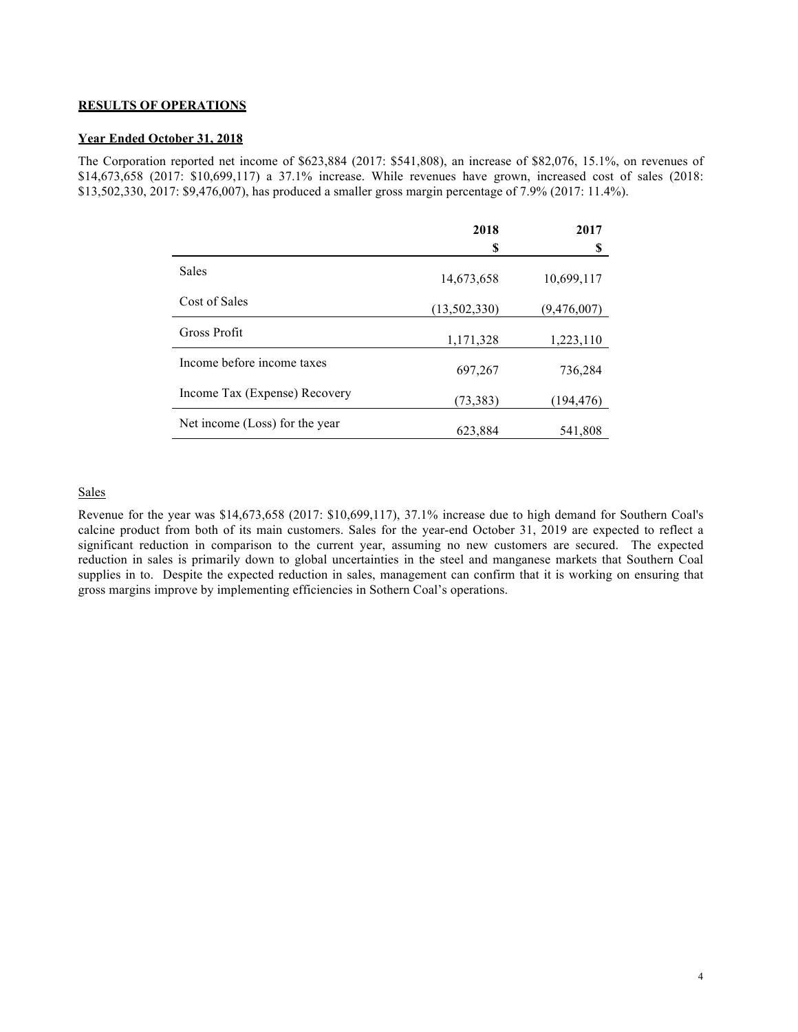#### **RESULTS OF OPERATIONS**

### **Year Ended October 31, 2018**

The Corporation reported net income of \$623,884 (2017: \$541,808), an increase of \$82,076, 15.1%, on revenues of \$14,673,658 (2017: \$10,699,117) a 37.1% increase. While revenues have grown, increased cost of sales (2018: \$13,502,330, 2017: \$9,476,007), has produced a smaller gross margin percentage of 7.9% (2017: 11.4%).

|                                | 2018         | 2017        |
|--------------------------------|--------------|-------------|
|                                | S            | S           |
| <b>Sales</b>                   | 14,673,658   | 10,699,117  |
| Cost of Sales                  | (13,502,330) | (9,476,007) |
| Gross Profit                   | 1,171,328    | 1,223,110   |
| Income before income taxes     | 697,267      | 736,284     |
| Income Tax (Expense) Recovery  | (73, 383)    | (194, 476)  |
| Net income (Loss) for the year | 623,884      | 541,808     |

### **Sales**

Revenue for the year was \$14,673,658 (2017: \$10,699,117), 37.1% increase due to high demand for Southern Coal's calcine product from both of its main customers. Sales for the year-end October 31, 2019 are expected to reflect a significant reduction in comparison to the current year, assuming no new customers are secured. The expected reduction in sales is primarily down to global uncertainties in the steel and manganese markets that Southern Coal supplies in to. Despite the expected reduction in sales, management can confirm that it is working on ensuring that gross margins improve by implementing efficiencies in Sothern Coal's operations.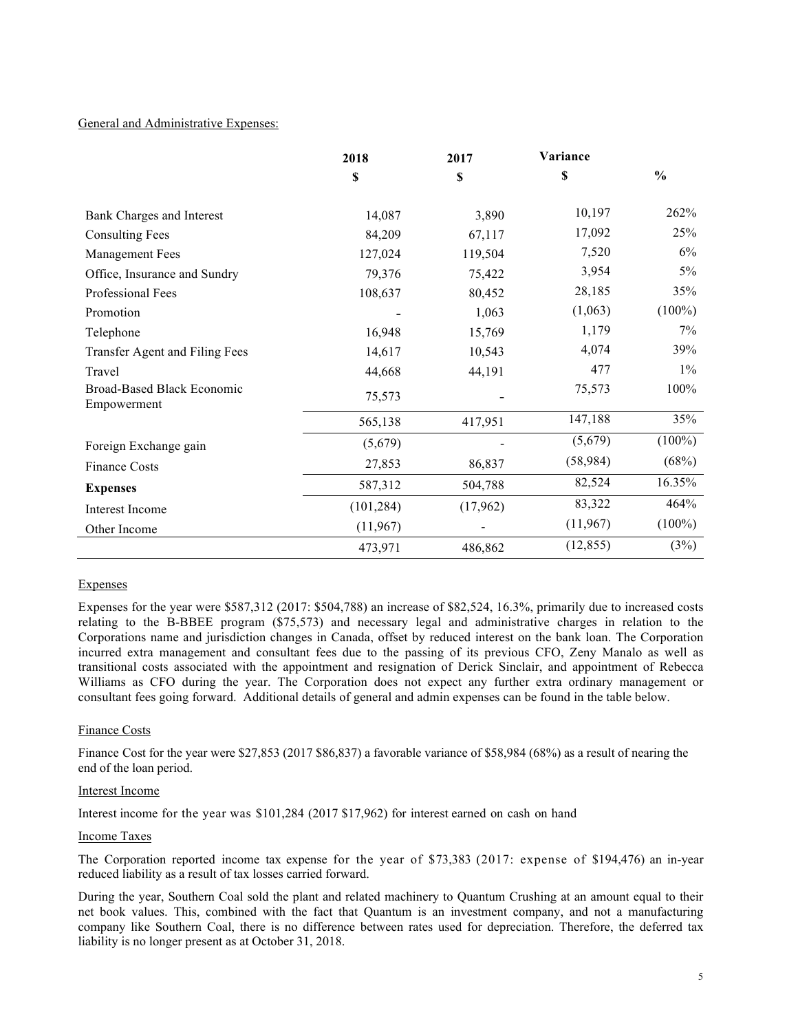### General and Administrative Expenses:

|                                                  | 2018       | 2017     | Variance  |               |
|--------------------------------------------------|------------|----------|-----------|---------------|
|                                                  | \$         | \$       | \$        | $\frac{0}{0}$ |
| Bank Charges and Interest                        | 14,087     | 3,890    | 10,197    | 262%          |
| <b>Consulting Fees</b>                           | 84,209     | 67,117   | 17,092    | 25%           |
| Management Fees                                  | 127,024    | 119,504  | 7,520     | 6%            |
| Office, Insurance and Sundry                     | 79,376     | 75,422   | 3,954     | $5\%$         |
| Professional Fees                                | 108,637    | 80,452   | 28,185    | 35%           |
| Promotion                                        |            | 1,063    | (1,063)   | $(100\%)$     |
| Telephone                                        | 16,948     | 15,769   | 1,179     | 7%            |
| Transfer Agent and Filing Fees                   | 14,617     | 10,543   | 4,074     | 39%           |
| Travel                                           | 44,668     | 44,191   | 477       | $1\%$         |
| <b>Broad-Based Black Economic</b><br>Empowerment | 75,573     |          | 75,573    | 100%          |
|                                                  | 565,138    | 417,951  | 147,188   | 35%           |
| Foreign Exchange gain                            | (5,679)    |          | (5,679)   | $(100\%)$     |
| <b>Finance Costs</b>                             | 27,853     | 86,837   | (58, 984) | (68%)         |
| <b>Expenses</b>                                  | 587,312    | 504,788  | 82,524    | 16.35%        |
| Interest Income                                  | (101, 284) | (17,962) | 83,322    | 464%          |
| Other Income                                     | (11,967)   |          | (11,967)  | $(100\%)$     |
|                                                  | 473,971    | 486,862  | (12, 855) | (3%)          |

#### Expenses

Expenses for the year were \$587,312 (2017: \$504,788) an increase of \$82,524, 16.3%, primarily due to increased costs relating to the B-BBEE program (\$75,573) and necessary legal and administrative charges in relation to the Corporations name and jurisdiction changes in Canada, offset by reduced interest on the bank loan. The Corporation incurred extra management and consultant fees due to the passing of its previous CFO, Zeny Manalo as well as transitional costs associated with the appointment and resignation of Derick Sinclair, and appointment of Rebecca Williams as CFO during the year. The Corporation does not expect any further extra ordinary management or consultant fees going forward. Additional details of general and admin expenses can be found in the table below.

### Finance Costs

Finance Cost for the year were \$27,853 (2017 \$86,837) a favorable variance of \$58,984 (68%) as a result of nearing the end of the loan period.

#### Interest Income

Interest income for the year was \$101,284 (2017 \$17,962) for interest earned on cash on hand

#### Income Taxes

The Corporation reported income tax expense for the year of \$73,383 (2017: expense of \$194,476) an in-year reduced liability as a result of tax losses carried forward.

During the year, Southern Coal sold the plant and related machinery to Quantum Crushing at an amount equal to their net book values. This, combined with the fact that Quantum is an investment company, and not a manufacturing company like Southern Coal, there is no difference between rates used for depreciation. Therefore, the deferred tax liability is no longer present as at October 31, 2018.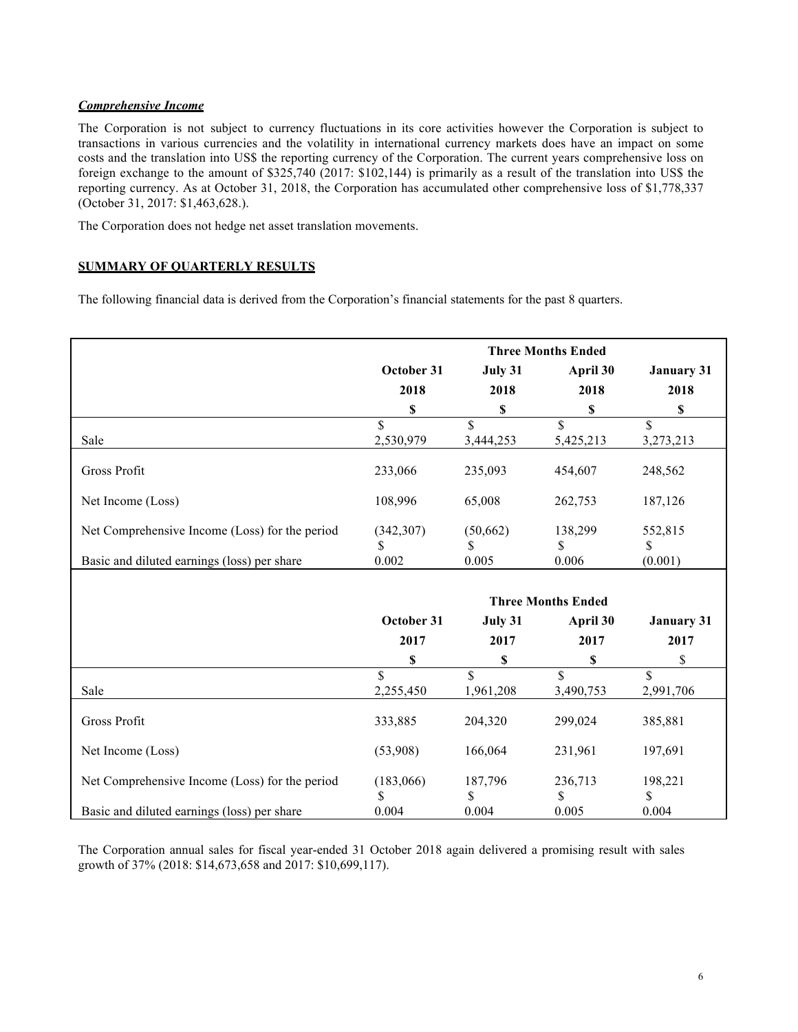### *Comprehensive Income*

The Corporation is not subject to currency fluctuations in its core activities however the Corporation is subject to transactions in various currencies and the volatility in international currency markets does have an impact on some costs and the translation into US\$ the reporting currency of the Corporation. The current years comprehensive loss on foreign exchange to the amount of \$325,740 (2017: \$102,144) is primarily as a result of the translation into US\$ the reporting currency. As at October 31, 2018, the Corporation has accumulated other comprehensive loss of \$1,778,337 (October 31, 2017: \$1,463,628.).

The Corporation does not hedge net asset translation movements.

# **SUMMARY OF QUARTERLY RESULTS**

The following financial data is derived from the Corporation's financial statements for the past 8 quarters.

|                                                |                    |                    | <b>Three Months Ended</b> |                   |
|------------------------------------------------|--------------------|--------------------|---------------------------|-------------------|
|                                                | October 31         | July 31            | April 30                  | <b>January 31</b> |
|                                                | 2018               | 2018               | 2018                      | 2018              |
|                                                | \$                 | \$                 | \$                        | \$                |
|                                                | \$                 | $\mathbf S$        | \$                        | \$                |
| Sale                                           | 2,530,979          | 3,444,253          | 5,425,213                 | 3,273,213         |
| Gross Profit                                   | 233,066            | 235,093            | 454,607                   | 248,562           |
| Net Income (Loss)                              | 108,996            | 65,008             | 262,753                   | 187,126           |
| Net Comprehensive Income (Loss) for the period | (342, 307)         | (50, 662)          | 138,299                   | 552,815           |
| Basic and diluted earnings (loss) per share    | S<br>0.002         | S<br>0.005         | \$.<br>0.006              | \$<br>(0.001)     |
|                                                |                    |                    |                           |                   |
|                                                |                    |                    | <b>Three Months Ended</b> |                   |
|                                                | October 31         | July 31            | April 30                  | <b>January 31</b> |
|                                                | 2017               | 2017               | 2017                      | 2017              |
|                                                | \$                 | \$                 | \$                        | \$                |
|                                                | $\mathbf{\hat{S}}$ | $\mathbf{\hat{S}}$ | $\mathbf{\hat{S}}$        | $\mathbf S$       |
| Sale                                           | 2,255,450          | 1,961,208          | 3,490,753                 | 2,991,706         |
| <b>Gross Profit</b>                            | 333,885            | 204,320            | 299,024                   | 385,881           |
| Net Income (Loss)                              | (53,908)           | 166,064            | 231,961                   | 197,691           |
| Net Comprehensive Income (Loss) for the period | (183,066)<br>S     | 187,796<br>S       | 236,713<br>\$             | 198,221<br>S      |
| Basic and diluted earnings (loss) per share    | 0.004              | 0.004              | 0.005                     | 0.004             |

The Corporation annual sales for fiscal year-ended 31 October 2018 again delivered a promising result with sales growth of 37% (2018: \$14,673,658 and 2017: \$10,699,117).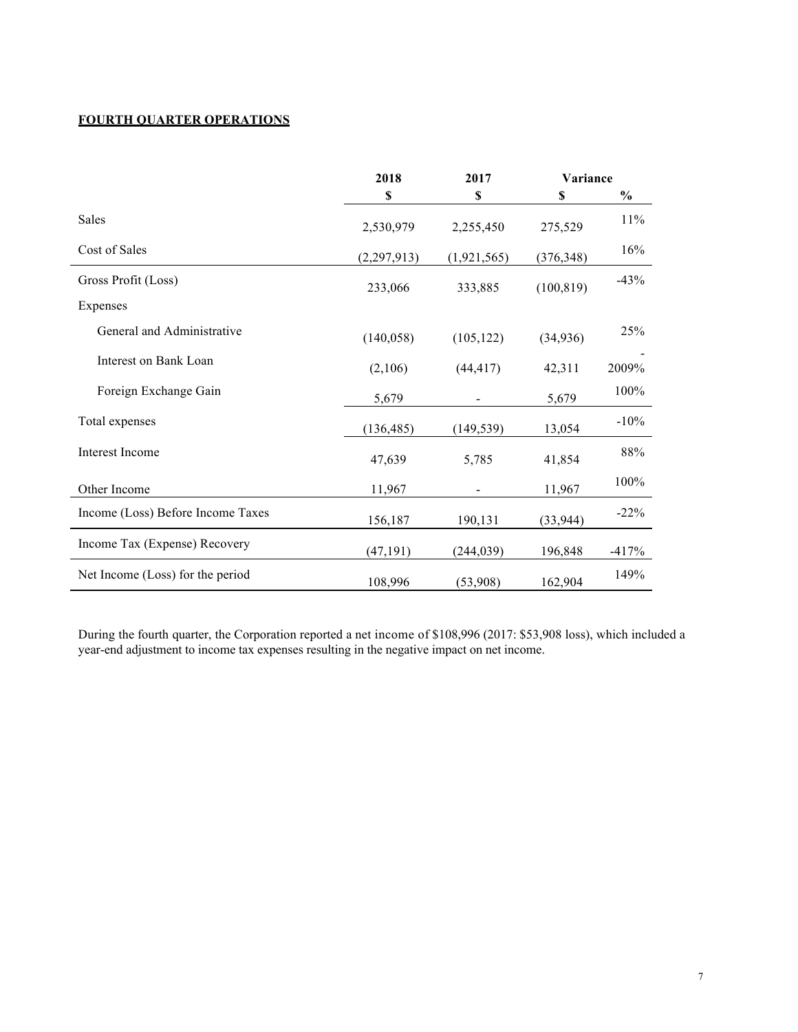# **FOURTH QUARTER OPERATIONS**

|                                   | 2018          | 2017        | Variance   |               |
|-----------------------------------|---------------|-------------|------------|---------------|
|                                   | S             | S           | S          | $\frac{0}{0}$ |
| <b>Sales</b>                      | 2,530,979     | 2,255,450   | 275,529    | 11%           |
| Cost of Sales                     | (2, 297, 913) | (1,921,565) | (376, 348) | 16%           |
| Gross Profit (Loss)               | 233,066       | 333,885     | (100, 819) | $-43%$        |
| Expenses                          |               |             |            |               |
| General and Administrative        | (140, 058)    | (105, 122)  | (34, 936)  | 25%           |
| Interest on Bank Loan             | (2,106)       | (44, 417)   | 42,311     | 2009%         |
| Foreign Exchange Gain             | 5,679         |             | 5,679      | 100%          |
| Total expenses                    | (136, 485)    | (149, 539)  | 13,054     | $-10%$        |
| <b>Interest Income</b>            | 47,639        | 5,785       | 41,854     | 88%           |
| Other Income                      | 11,967        |             | 11,967     | 100%          |
| Income (Loss) Before Income Taxes | 156,187       | 190,131     | (33, 944)  | $-22%$        |
| Income Tax (Expense) Recovery     | (47, 191)     | (244, 039)  | 196,848    | $-417%$       |
| Net Income (Loss) for the period  | 108,996       | (53,908)    | 162,904    | 149%          |

During the fourth quarter, the Corporation reported a net income of \$108,996 (2017: \$53,908 loss), which included a year-end adjustment to income tax expenses resulting in the negative impact on net income.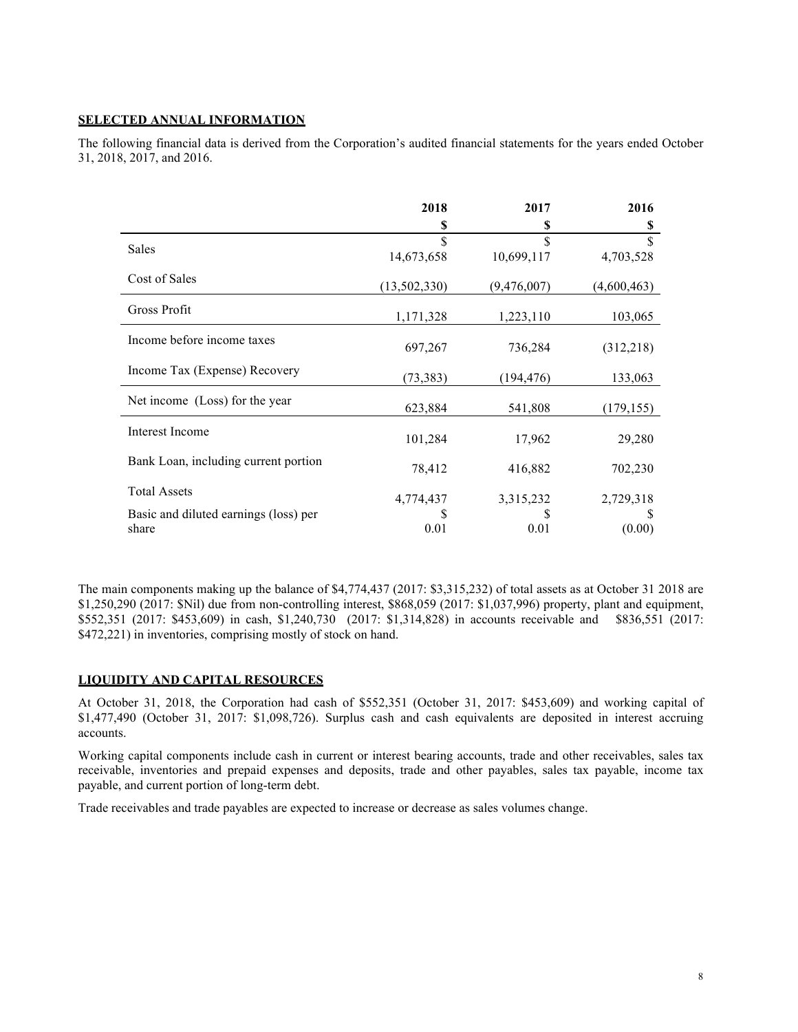### **SELECTED ANNUAL INFORMATION**

The following financial data is derived from the Corporation's audited financial statements for the years ended October 31, 2018, 2017, and 2016.

|                                                | 2018                             | 2017        | 2016                     |
|------------------------------------------------|----------------------------------|-------------|--------------------------|
|                                                | \$                               | S           | \$                       |
| Sales                                          | $\mathbf{\hat{S}}$<br>14,673,658 | 10,699,117  | $\mathbf S$<br>4,703,528 |
| Cost of Sales                                  | (13, 502, 330)                   | (9,476,007) | (4,600,463)              |
| Gross Profit                                   | 1,171,328                        | 1,223,110   | 103,065                  |
| Income before income taxes                     | 697,267                          | 736,284     | (312,218)                |
| Income Tax (Expense) Recovery                  | (73, 383)                        | (194, 476)  | 133,063                  |
| Net income (Loss) for the year                 | 623,884                          | 541,808     | (179, 155)               |
| Interest Income                                | 101,284                          | 17,962      | 29,280                   |
| Bank Loan, including current portion           | 78,412                           | 416,882     | 702,230                  |
| <b>Total Assets</b>                            | 4,774,437                        | 3,315,232   | 2,729,318                |
| Basic and diluted earnings (loss) per<br>share | 0.01                             | 0.01        | (0.00)                   |

The main components making up the balance of \$4,774,437 (2017: \$3,315,232) of total assets as at October 31 2018 are \$1,250,290 (2017: \$Nil) due from non-controlling interest, \$868,059 (2017: \$1,037,996) property, plant and equipment, \$552,351 (2017: \$453,609) in cash, \$1,240,730 (2017: \$1,314,828) in accounts receivable and \$836,551 (2017: \$472,221) in inventories, comprising mostly of stock on hand.

#### **LIQUIDITY AND CAPITAL RESOURCES**

At October 31, 2018, the Corporation had cash of \$552,351 (October 31, 2017: \$453,609) and working capital of \$1,477,490 (October 31, 2017: \$1,098,726). Surplus cash and cash equivalents are deposited in interest accruing accounts.

Working capital components include cash in current or interest bearing accounts, trade and other receivables, sales tax receivable, inventories and prepaid expenses and deposits, trade and other payables, sales tax payable, income tax payable, and current portion of long-term debt.

Trade receivables and trade payables are expected to increase or decrease as sales volumes change.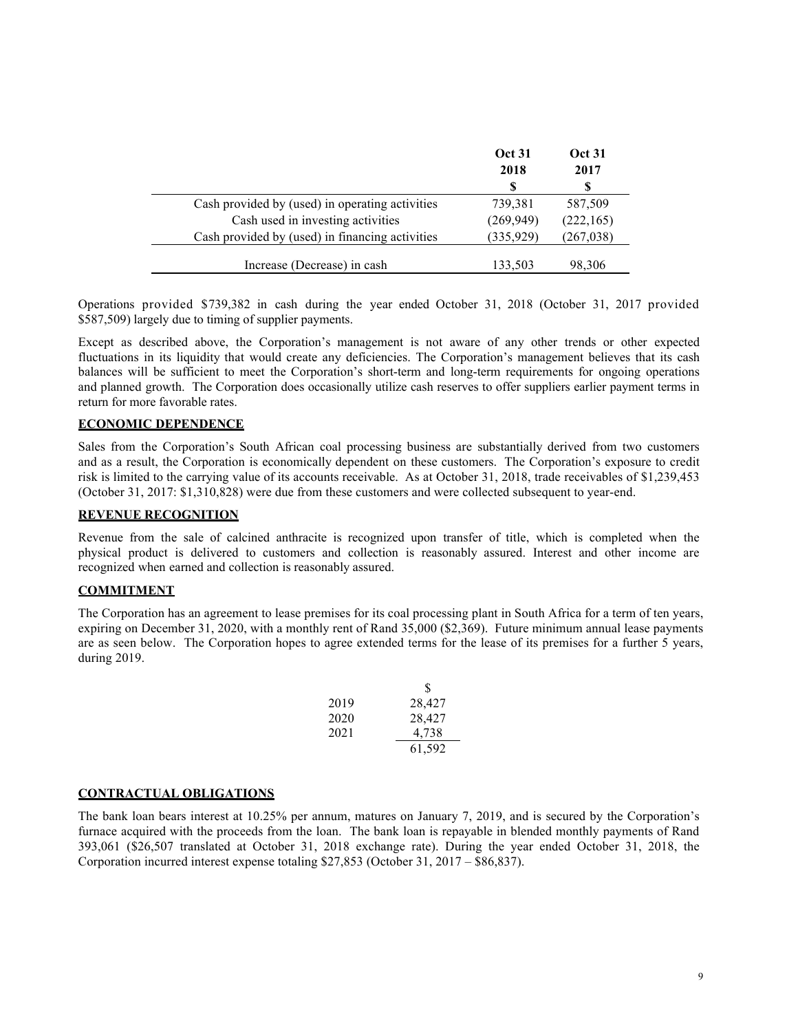|                                                 | <b>Oct 31</b><br>2018 | <b>Oct 31</b><br>2017 |
|-------------------------------------------------|-----------------------|-----------------------|
|                                                 | S                     | S                     |
| Cash provided by (used) in operating activities | 739,381               | 587,509               |
| Cash used in investing activities               | (269, 949)            | (222, 165)            |
| Cash provided by (used) in financing activities | (335, 929)            | (267, 038)            |
| Increase (Decrease) in cash                     | 133,503               | 98,306                |

Operations provided \$739,382 in cash during the year ended October 31, 2018 (October 31, 2017 provided \$587,509) largely due to timing of supplier payments.

Except as described above, the Corporation's management is not aware of any other trends or other expected fluctuations in its liquidity that would create any deficiencies. The Corporation's management believes that its cash balances will be sufficient to meet the Corporation's short-term and long-term requirements for ongoing operations and planned growth. The Corporation does occasionally utilize cash reserves to offer suppliers earlier payment terms in return for more favorable rates.

### **ECONOMIC DEPENDENCE**

Sales from the Corporation's South African coal processing business are substantially derived from two customers and as a result, the Corporation is economically dependent on these customers. The Corporation's exposure to credit risk is limited to the carrying value of its accounts receivable. As at October 31, 2018, trade receivables of \$1,239,453 (October 31, 2017: \$1,310,828) were due from these customers and were collected subsequent to year-end.

#### **REVENUE RECOGNITION**

Revenue from the sale of calcined anthracite is recognized upon transfer of title, which is completed when the physical product is delivered to customers and collection is reasonably assured. Interest and other income are recognized when earned and collection is reasonably assured.

#### **COMMITMENT**

The Corporation has an agreement to lease premises for its coal processing plant in South Africa for a term of ten years, expiring on December 31, 2020, with a monthly rent of Rand 35,000 (\$2,369). Future minimum annual lease payments are as seen below. The Corporation hopes to agree extended terms for the lease of its premises for a further 5 years, during 2019.

|      | S      |
|------|--------|
| 2019 | 28,427 |
| 2020 | 28,427 |
| 2021 | 4,738  |
|      | 61,592 |

### **CONTRACTUAL OBLIGATIONS**

The bank loan bears interest at 10.25% per annum, matures on January 7, 2019, and is secured by the Corporation's furnace acquired with the proceeds from the loan. The bank loan is repayable in blended monthly payments of Rand 393,061 (\$26,507 translated at October 31, 2018 exchange rate). During the year ended October 31, 2018, the Corporation incurred interest expense totaling \$27,853 (October 31, 2017 – \$86,837).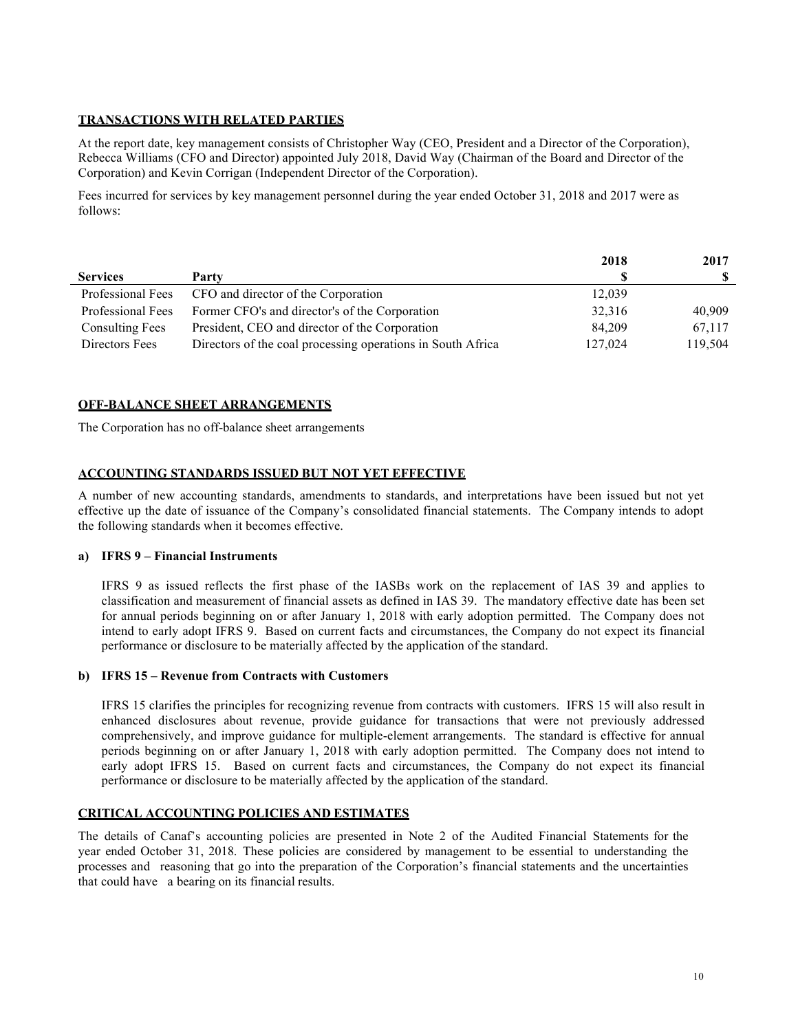### **TRANSACTIONS WITH RELATED PARTIES**

At the report date, key management consists of Christopher Way (CEO, President and a Director of the Corporation), Rebecca Williams (CFO and Director) appointed July 2018, David Way (Chairman of the Board and Director of the Corporation) and Kevin Corrigan (Independent Director of the Corporation).

Fees incurred for services by key management personnel during the year ended October 31, 2018 and 2017 were as follows:

|                        |                                                             | 2018    | 2017    |
|------------------------|-------------------------------------------------------------|---------|---------|
| <b>Services</b>        | Party                                                       |         |         |
| Professional Fees      | CFO and director of the Corporation                         | 12,039  |         |
| Professional Fees      | Former CFO's and director's of the Corporation              | 32,316  | 40,909  |
| <b>Consulting Fees</b> | President, CEO and director of the Corporation              | 84,209  | 67,117  |
| Directors Fees         | Directors of the coal processing operations in South Africa | 127,024 | 119,504 |

### **OFF-BALANCE SHEET ARRANGEMENTS**

The Corporation has no off-balance sheet arrangements

# **ACCOUNTING STANDARDS ISSUED BUT NOT YET EFFECTIVE**

A number of new accounting standards, amendments to standards, and interpretations have been issued but not yet effective up the date of issuance of the Company's consolidated financial statements. The Company intends to adopt the following standards when it becomes effective.

#### **a) IFRS 9 – Financial Instruments**

IFRS 9 as issued reflects the first phase of the IASBs work on the replacement of IAS 39 and applies to classification and measurement of financial assets as defined in IAS 39. The mandatory effective date has been set for annual periods beginning on or after January 1, 2018 with early adoption permitted. The Company does not intend to early adopt IFRS 9. Based on current facts and circumstances, the Company do not expect its financial performance or disclosure to be materially affected by the application of the standard.

#### **b) IFRS 15 – Revenue from Contracts with Customers**

IFRS 15 clarifies the principles for recognizing revenue from contracts with customers. IFRS 15 will also result in enhanced disclosures about revenue, provide guidance for transactions that were not previously addressed comprehensively, and improve guidance for multiple-element arrangements. The standard is effective for annual periods beginning on or after January 1, 2018 with early adoption permitted. The Company does not intend to early adopt IFRS 15. Based on current facts and circumstances, the Company do not expect its financial performance or disclosure to be materially affected by the application of the standard.

### **CRITICAL ACCOUNTING POLICIES AND ESTIMATES**

The details of Canaf's accounting policies are presented in Note 2 of the Audited Financial Statements for the year ended October 31, 2018. These policies are considered by management to be essential to understanding the processes and reasoning that go into the preparation of the Corporation's financial statements and the uncertainties that could have a bearing on its financial results.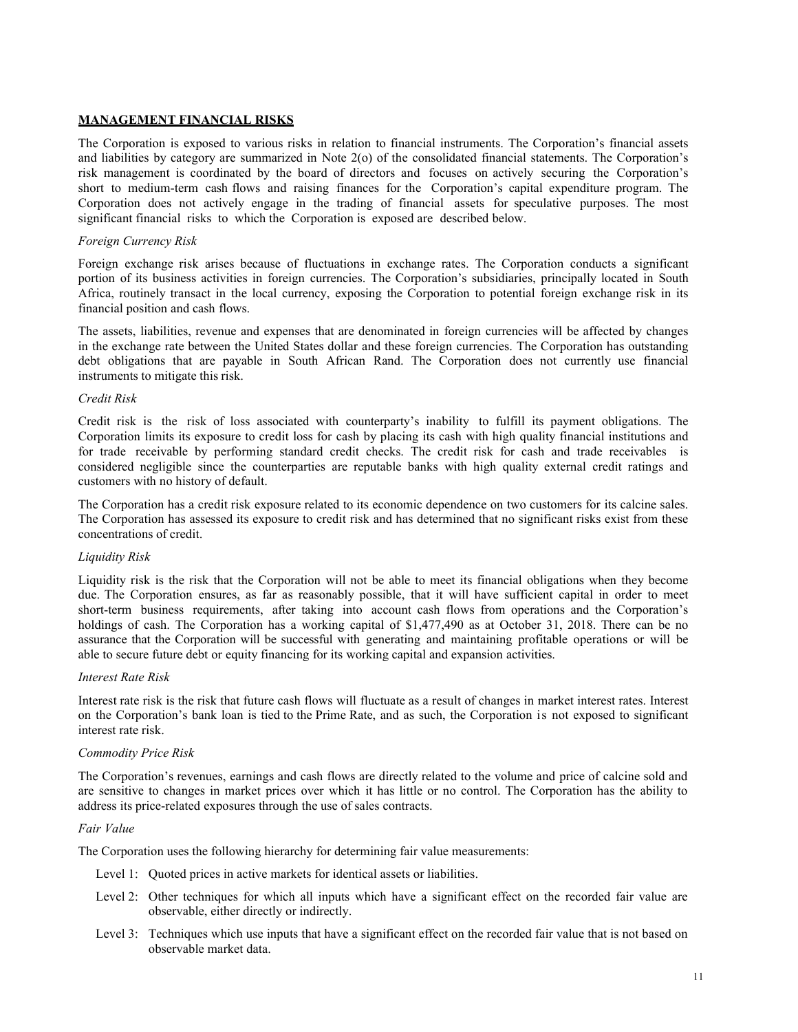### **MANAGEMENT FINANCIAL RISKS**

The Corporation is exposed to various risks in relation to financial instruments. The Corporation's financial assets and liabilities by category are summarized in Note 2(o) of the consolidated financial statements. The Corporation's risk management is coordinated by the board of directors and focuses on actively securing the Corporation's short to medium-term cash flows and raising finances for the Corporation's capital expenditure program. The Corporation does not actively engage in the trading of financial assets for speculative purposes. The most significant financial risks to which the Corporation is exposed are described below.

#### *Foreign Currency Risk*

Foreign exchange risk arises because of fluctuations in exchange rates. The Corporation conducts a significant portion of its business activities in foreign currencies. The Corporation's subsidiaries, principally located in South Africa, routinely transact in the local currency, exposing the Corporation to potential foreign exchange risk in its financial position and cash flows.

The assets, liabilities, revenue and expenses that are denominated in foreign currencies will be affected by changes in the exchange rate between the United States dollar and these foreign currencies. The Corporation has outstanding debt obligations that are payable in South African Rand. The Corporation does not currently use financial instruments to mitigate this risk.

### *Credit Risk*

Credit risk is the risk of loss associated with counterparty's inability to fulfill its payment obligations. The Corporation limits its exposure to credit loss for cash by placing its cash with high quality financial institutions and for trade receivable by performing standard credit checks. The credit risk for cash and trade receivables is considered negligible since the counterparties are reputable banks with high quality external credit ratings and customers with no history of default.

The Corporation has a credit risk exposure related to its economic dependence on two customers for its calcine sales. The Corporation has assessed its exposure to credit risk and has determined that no significant risks exist from these concentrations of credit.

#### *Liquidity Risk*

Liquidity risk is the risk that the Corporation will not be able to meet its financial obligations when they become due. The Corporation ensures, as far as reasonably possible, that it will have sufficient capital in order to meet short-term business requirements, after taking into account cash flows from operations and the Corporation's holdings of cash. The Corporation has a working capital of \$1,477,490 as at October 31, 2018. There can be no assurance that the Corporation will be successful with generating and maintaining profitable operations or will be able to secure future debt or equity financing for its working capital and expansion activities.

#### *Interest Rate Risk*

Interest rate risk is the risk that future cash flows will fluctuate as a result of changes in market interest rates. Interest on the Corporation's bank loan is tied to the Prime Rate, and as such, the Corporation is not exposed to significant interest rate risk.

### *Commodity Price Risk*

The Corporation's revenues, earnings and cash flows are directly related to the volume and price of calcine sold and are sensitive to changes in market prices over which it has little or no control. The Corporation has the ability to address its price-related exposures through the use of sales contracts.

#### *Fair Value*

The Corporation uses the following hierarchy for determining fair value measurements:

- Level 1: Quoted prices in active markets for identical assets or liabilities.
- Level 2: Other techniques for which all inputs which have a significant effect on the recorded fair value are observable, either directly or indirectly.
- Level 3: Techniques which use inputs that have a significant effect on the recorded fair value that is not based on observable market data.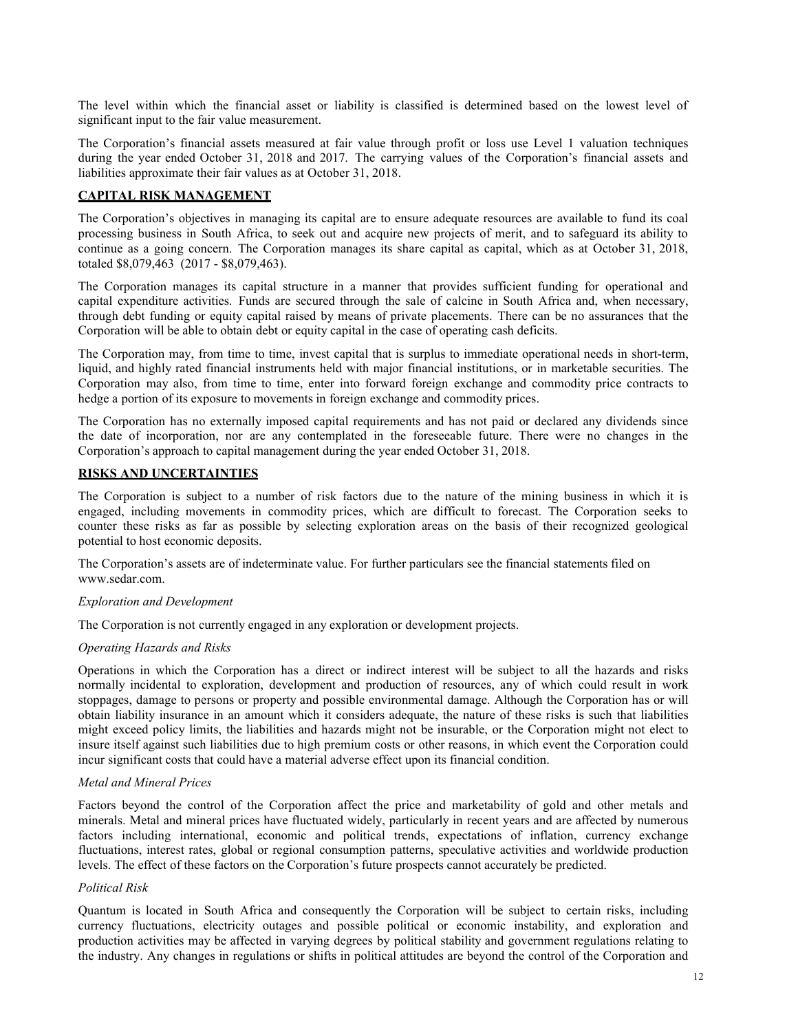The level within which the financial asset or liability is classified is determined based on the lowest level of significant input to the fair value measurement.

The Corporation's financial assets measured at fair value through profit or loss use Level 1 valuation techniques during the year ended October 31, 2018 and 2017. The carrying values of the Corporation's financial assets and liabilities approximate their fair values as at October 31, 2018.

### **CAPITAL RISK MANAGEMENT**

The Corporation's objectives in managing its capital are to ensure adequate resources are available to fund its coal processing business in South Africa, to seek out and acquire new projects of merit, and to safeguard its ability to continue as a going concern. The Corporation manages its share capital as capital, which as at October 31, 2018, totaled \$8,079,463 (2017 - \$8,079,463).

The Corporation manages its capital structure in a manner that provides sufficient funding for operational and capital expenditure activities. Funds are secured through the sale of calcine in South Africa and, when necessary, through debt funding or equity capital raised by means of private placements. There can be no assurances that the Corporation will be able to obtain debt or equity capital in the case of operating cash deficits.

The Corporation may, from time to time, invest capital that is surplus to immediate operational needs in short-term, liquid, and highly rated financial instruments held with major financial institutions, or in marketable securities. The Corporation may also, from time to time, enter into forward foreign exchange and commodity price contracts to hedge a portion of its exposure to movements in foreign exchange and commodity prices.

The Corporation has no externally imposed capital requirements and has not paid or declared any dividends since the date of incorporation, nor are any contemplated in the foreseeable future. There were no changes in the Corporation's approach to capital management during the year ended October 31, 2018.

### **RISKS AND UNCERTAINTIES**

The Corporation is subject to a number of risk factors due to the nature of the mining business in which it is engaged, including movements in commodity prices, which are difficult to forecast. The Corporation seeks to counter these risks as far as possible by selecting exploration areas on the basis of their recognized geological potential to host economic deposits.

The Corporation's assets are of indeterminate value. For further particulars see the financial statements filed on www.sedar.com.

#### *Exploration and Development*

The Corporation is not currently engaged in any exploration or development projects.

#### *Operating Hazards and Risks*

Operations in which the Corporation has a direct or indirect interest will be subject to all the hazards and risks normally incidental to exploration, development and production of resources, any of which could result in work stoppages, damage to persons or property and possible environmental damage. Although the Corporation has or will obtain liability insurance in an amount which it considers adequate, the nature of these risks is such that liabilities might exceed policy limits, the liabilities and hazards might not be insurable, or the Corporation might not elect to insure itself against such liabilities due to high premium costs or other reasons, in which event the Corporation could incur significant costs that could have a material adverse effect upon its financial condition.

### *Metal and Mineral Prices*

Factors beyond the control of the Corporation affect the price and marketability of gold and other metals and minerals. Metal and mineral prices have fluctuated widely, particularly in recent years and are affected by numerous factors including international, economic and political trends, expectations of inflation, currency exchange fluctuations, interest rates, global or regional consumption patterns, speculative activities and worldwide production levels. The effect of these factors on the Corporation's future prospects cannot accurately be predicted.

### *Political Risk*

Quantum is located in South Africa and consequently the Corporation will be subject to certain risks, including currency fluctuations, electricity outages and possible political or economic instability, and exploration and production activities may be affected in varying degrees by political stability and government regulations relating to the industry. Any changes in regulations or shifts in political attitudes are beyond the control of the Corporation and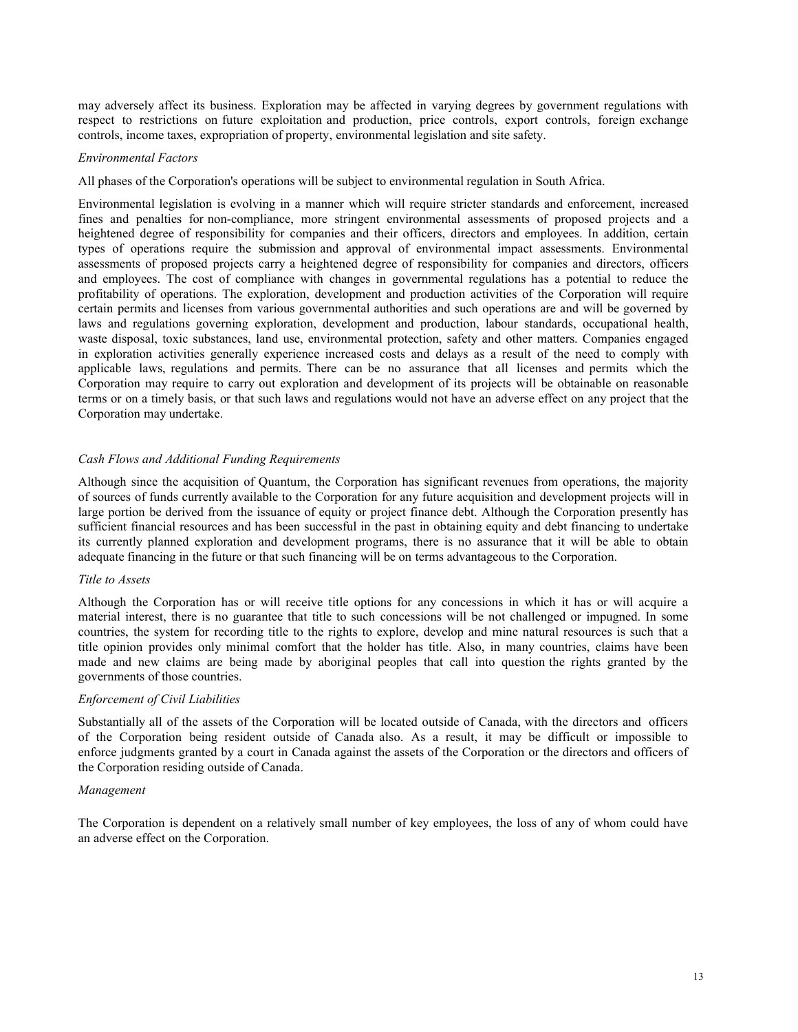may adversely affect its business. Exploration may be affected in varying degrees by government regulations with respect to restrictions on future exploitation and production, price controls, export controls, foreign exchange controls, income taxes, expropriation of property, environmental legislation and site safety.

#### *Environmental Factors*

All phases of the Corporation's operations will be subject to environmental regulation in South Africa.

Environmental legislation is evolving in a manner which will require stricter standards and enforcement, increased fines and penalties for non-compliance, more stringent environmental assessments of proposed projects and a heightened degree of responsibility for companies and their officers, directors and employees. In addition, certain types of operations require the submission and approval of environmental impact assessments. Environmental assessments of proposed projects carry a heightened degree of responsibility for companies and directors, officers and employees. The cost of compliance with changes in governmental regulations has a potential to reduce the profitability of operations. The exploration, development and production activities of the Corporation will require certain permits and licenses from various governmental authorities and such operations are and will be governed by laws and regulations governing exploration, development and production, labour standards, occupational health, waste disposal, toxic substances, land use, environmental protection, safety and other matters. Companies engaged in exploration activities generally experience increased costs and delays as a result of the need to comply with applicable laws, regulations and permits. There can be no assurance that all licenses and permits which the Corporation may require to carry out exploration and development of its projects will be obtainable on reasonable terms or on a timely basis, or that such laws and regulations would not have an adverse effect on any project that the Corporation may undertake.

### *Cash Flows and Additional Funding Requirements*

Although since the acquisition of Quantum, the Corporation has significant revenues from operations, the majority of sources of funds currently available to the Corporation for any future acquisition and development projects will in large portion be derived from the issuance of equity or project finance debt. Although the Corporation presently has sufficient financial resources and has been successful in the past in obtaining equity and debt financing to undertake its currently planned exploration and development programs, there is no assurance that it will be able to obtain adequate financing in the future or that such financing will be on terms advantageous to the Corporation.

### *Title to Assets*

Although the Corporation has or will receive title options for any concessions in which it has or will acquire a material interest, there is no guarantee that title to such concessions will be not challenged or impugned. In some countries, the system for recording title to the rights to explore, develop and mine natural resources is such that a title opinion provides only minimal comfort that the holder has title. Also, in many countries, claims have been made and new claims are being made by aboriginal peoples that call into question the rights granted by the governments of those countries.

#### *Enforcement of Civil Liabilities*

Substantially all of the assets of the Corporation will be located outside of Canada, with the directors and officers of the Corporation being resident outside of Canada also. As a result, it may be difficult or impossible to enforce judgments granted by a court in Canada against the assets of the Corporation or the directors and officers of the Corporation residing outside of Canada.

#### *Management*

The Corporation is dependent on a relatively small number of key employees, the loss of any of whom could have an adverse effect on the Corporation.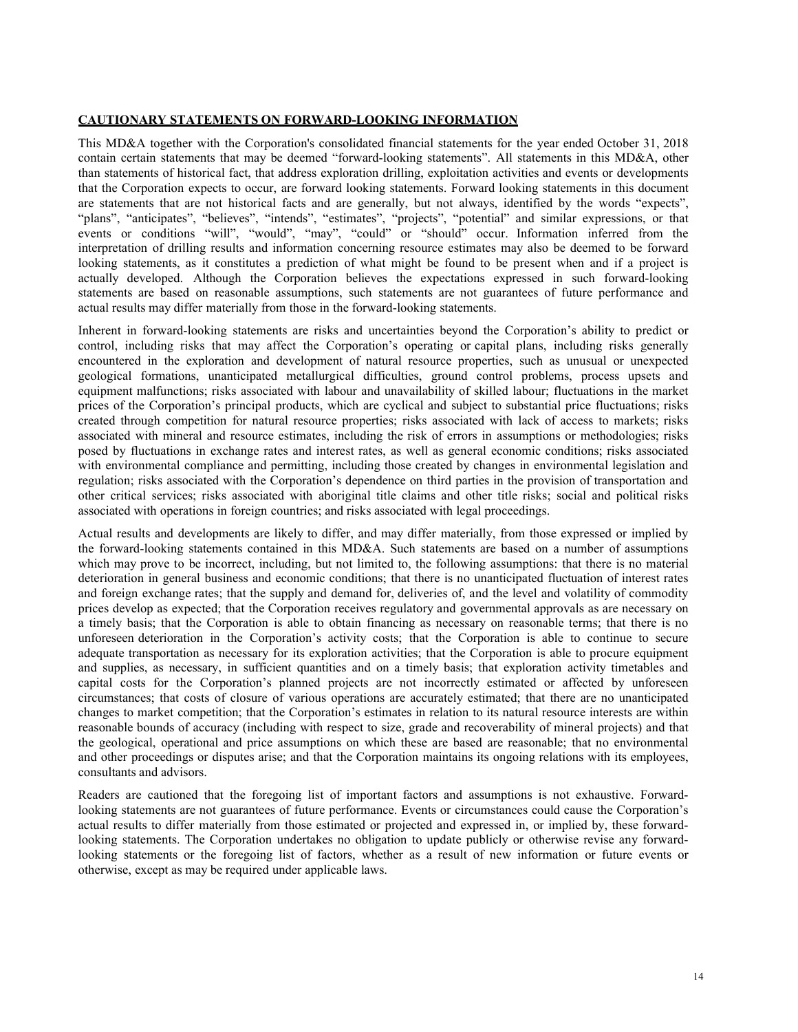#### **CAUTIONARY STATEMENTS ON FORWARD-LOOKING INFORMATION**

This MD&A together with the Corporation's consolidated financial statements for the year ended October 31, 2018 contain certain statements that may be deemed "forward-looking statements". All statements in this MD&A, other than statements of historical fact, that address exploration drilling, exploitation activities and events or developments that the Corporation expects to occur, are forward looking statements. Forward looking statements in this document are statements that are not historical facts and are generally, but not always, identified by the words "expects", "plans", "anticipates", "believes", "intends", "estimates", "projects", "potential" and similar expressions, or that events or conditions "will", "would", "may", "could" or "should" occur. Information inferred from the interpretation of drilling results and information concerning resource estimates may also be deemed to be forward looking statements, as it constitutes a prediction of what might be found to be present when and if a project is actually developed. Although the Corporation believes the expectations expressed in such forward-looking statements are based on reasonable assumptions, such statements are not guarantees of future performance and actual results may differ materially from those in the forward-looking statements.

Inherent in forward-looking statements are risks and uncertainties beyond the Corporation's ability to predict or control, including risks that may affect the Corporation's operating or capital plans, including risks generally encountered in the exploration and development of natural resource properties, such as unusual or unexpected geological formations, unanticipated metallurgical difficulties, ground control problems, process upsets and equipment malfunctions; risks associated with labour and unavailability of skilled labour; fluctuations in the market prices of the Corporation's principal products, which are cyclical and subject to substantial price fluctuations; risks created through competition for natural resource properties; risks associated with lack of access to markets; risks associated with mineral and resource estimates, including the risk of errors in assumptions or methodologies; risks posed by fluctuations in exchange rates and interest rates, as well as general economic conditions; risks associated with environmental compliance and permitting, including those created by changes in environmental legislation and regulation; risks associated with the Corporation's dependence on third parties in the provision of transportation and other critical services; risks associated with aboriginal title claims and other title risks; social and political risks associated with operations in foreign countries; and risks associated with legal proceedings.

Actual results and developments are likely to differ, and may differ materially, from those expressed or implied by the forward-looking statements contained in this MD&A. Such statements are based on a number of assumptions which may prove to be incorrect, including, but not limited to, the following assumptions: that there is no material deterioration in general business and economic conditions; that there is no unanticipated fluctuation of interest rates and foreign exchange rates; that the supply and demand for, deliveries of, and the level and volatility of commodity prices develop as expected; that the Corporation receives regulatory and governmental approvals as are necessary on a timely basis; that the Corporation is able to obtain financing as necessary on reasonable terms; that there is no unforeseen deterioration in the Corporation's activity costs; that the Corporation is able to continue to secure adequate transportation as necessary for its exploration activities; that the Corporation is able to procure equipment and supplies, as necessary, in sufficient quantities and on a timely basis; that exploration activity timetables and capital costs for the Corporation's planned projects are not incorrectly estimated or affected by unforeseen circumstances; that costs of closure of various operations are accurately estimated; that there are no unanticipated changes to market competition; that the Corporation's estimates in relation to its natural resource interests are within reasonable bounds of accuracy (including with respect to size, grade and recoverability of mineral projects) and that the geological, operational and price assumptions on which these are based are reasonable; that no environmental and other proceedings or disputes arise; and that the Corporation maintains its ongoing relations with its employees, consultants and advisors.

Readers are cautioned that the foregoing list of important factors and assumptions is not exhaustive. Forwardlooking statements are not guarantees of future performance. Events or circumstances could cause the Corporation's actual results to differ materially from those estimated or projected and expressed in, or implied by, these forwardlooking statements. The Corporation undertakes no obligation to update publicly or otherwise revise any forwardlooking statements or the foregoing list of factors, whether as a result of new information or future events or otherwise, except as may be required under applicable laws.